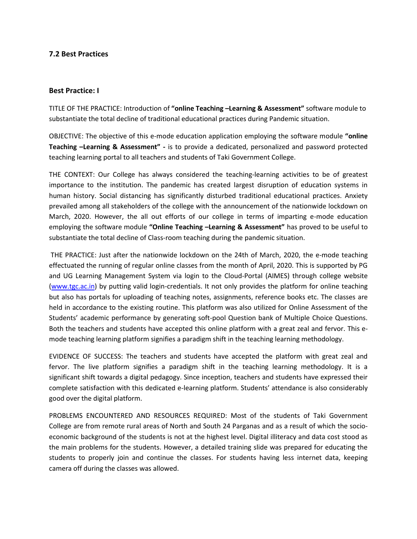## **7.2 Best Practices**

## **Best Practice: I**

TITLE OF THE PRACTICE: Introduction of **"online Teaching –Learning & Assessment"** software module to substantiate the total decline of traditional educational practices during Pandemic situation.

OBJECTIVE: The objective of this e-mode education application employing the software module **"online Teaching –Learning & Assessment" -** is to provide a dedicated, personalized and password protected teaching learning portal to all teachers and students of Taki Government College.

THE CONTEXT: Our College has always considered the teaching-learning activities to be of greatest importance to the institution. The pandemic has created largest disruption of education systems in human history. Social distancing has significantly disturbed traditional educational practices. Anxiety prevailed among all stakeholders of the college with the announcement of the nationwide lockdown on March, 2020. However, the all out efforts of our college in terms of imparting e-mode education employing the software module **"Online Teaching –Learning & Assessment"** has proved to be useful to substantiate the total decline of Class-room teaching during the pandemic situation.

THE PRACTICE: Just after the nationwide lockdown on the 24th of March, 2020, the e-mode teaching effectuated the running of regular online classes from the month of April, 2020. This is supported by PG and UG Learning Management System via login to the Cloud-Portal (AIMES) through college website [\(www.tgc.ac.in\)](http://www.tgc.ac.in/) by putting valid login-credentials. It not only provides the platform for online teaching but also has portals for uploading of teaching notes, assignments, reference books etc. The classes are held in accordance to the existing routine. This platform was also utilized for Online Assessment of the Students' academic performance by generating soft-pool Question bank of Multiple Choice Questions. Both the teachers and students have accepted this online platform with a great zeal and fervor. This emode teaching learning platform signifies a paradigm shift in the teaching learning methodology.

EVIDENCE OF SUCCESS: The teachers and students have accepted the platform with great zeal and fervor. The live platform signifies a paradigm shift in the teaching learning methodology. It is a significant shift towards a digital pedagogy. Since inception, teachers and students have expressed their complete satisfaction with this dedicated e-learning platform. Students' attendance is also considerably good over the digital platform.

PROBLEMS ENCOUNTERED AND RESOURCES REQUIRED: Most of the students of Taki Government College are from remote rural areas of North and South 24 Parganas and as a result of which the socioeconomic background of the students is not at the highest level. Digital illiteracy and data cost stood as the main problems for the students. However, a detailed training slide was prepared for educating the students to properly join and continue the classes. For students having less internet data, keeping camera off during the classes was allowed.